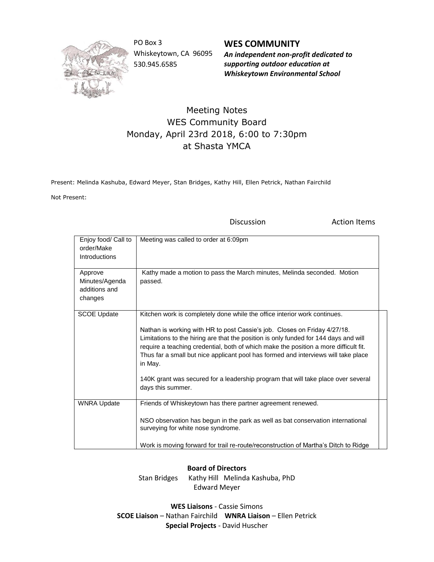

PO Box 3 Whiskeytown, CA 96095 530.945.6585

**WES COMMUNITY** *An independent non-profit dedicated to supporting outdoor education at Whiskeytown Environmental School*

## Meeting Notes WES Community Board Monday, April 23rd 2018, 6:00 to 7:30pm at Shasta YMCA

Present: Melinda Kashuba, Edward Meyer, Stan Bridges, Kathy Hill, Ellen Petrick, Nathan Fairchild

Not Present:

Discussion **Action** Items

| Enjoy food/ Call to<br>order/Make<br><b>Introductions</b> | Meeting was called to order at 6:09pm                                                                                                                                                                                                                                                                                                                                                                                                                                                                                                             |
|-----------------------------------------------------------|---------------------------------------------------------------------------------------------------------------------------------------------------------------------------------------------------------------------------------------------------------------------------------------------------------------------------------------------------------------------------------------------------------------------------------------------------------------------------------------------------------------------------------------------------|
| Approve<br>Minutes/Agenda<br>additions and<br>changes     | Kathy made a motion to pass the March minutes, Melinda seconded. Motion<br>passed.                                                                                                                                                                                                                                                                                                                                                                                                                                                                |
| <b>SCOE Update</b>                                        | Kitchen work is completely done while the office interior work continues.<br>Nathan is working with HR to post Cassie's job. Closes on Friday 4/27/18.<br>Limitations to the hiring are that the position is only funded for 144 days and will<br>require a teaching credential, both of which make the position a more difficult fit.<br>Thus far a small but nice applicant pool has formed and interviews will take place<br>in May.<br>140K grant was secured for a leadership program that will take place over several<br>days this summer. |
| <b>WNRA Update</b>                                        | Friends of Whiskeytown has there partner agreement renewed.<br>NSO observation has begun in the park as well as bat conservation international<br>surveying for white nose syndrome.<br>Work is moving forward for trail re-route/reconstruction of Martha's Ditch to Ridge                                                                                                                                                                                                                                                                       |

## **Board of Directors**

Stan Bridges Kathy Hill Melinda Kashuba, PhD Edward Meyer

**WES Liaisons** - Cassie Simons **SCOE Liaison** – Nathan Fairchild **WNRA Liaison** – Ellen Petrick **Special Projects** - David Huscher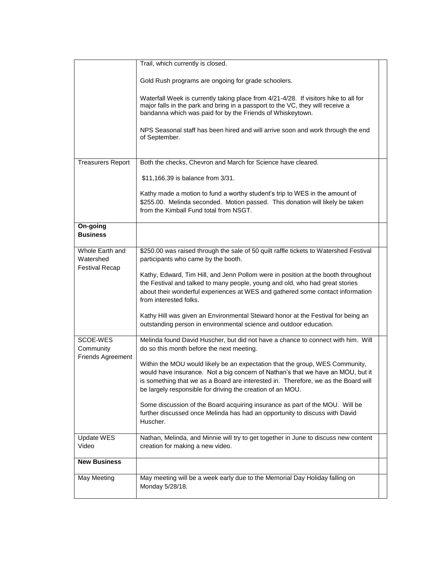|                                            | Trail, which currently is closed.                                                                                                                                                                                                                                                                                       |
|--------------------------------------------|-------------------------------------------------------------------------------------------------------------------------------------------------------------------------------------------------------------------------------------------------------------------------------------------------------------------------|
|                                            |                                                                                                                                                                                                                                                                                                                         |
|                                            | Gold Rush programs are ongoing for grade schoolers.                                                                                                                                                                                                                                                                     |
|                                            | Waterfall Week is currently taking place from 4/21-4/28. If visitors hike to all for<br>major falls in the park and bring in a passport to the VC, they will receive a<br>bandanna which was paid for by the Friends of Whiskeytown.<br>NPS Seasonal staff has been hired and will arrive soon and work through the end |
|                                            | of September.                                                                                                                                                                                                                                                                                                           |
| <b>Treasurers Report</b>                   | Both the checks, Chevron and March for Science have cleared.                                                                                                                                                                                                                                                            |
|                                            | \$11,166.39 is balance from 3/31.                                                                                                                                                                                                                                                                                       |
|                                            | Kathy made a motion to fund a worthy student's trip to WES in the amount of<br>\$255.00. Melinda seconded. Motion passed. This donation will likely be taken<br>from the Kimball Fund total from NSGT.                                                                                                                  |
| On-going<br><b>Business</b>                |                                                                                                                                                                                                                                                                                                                         |
| Whole Earth and<br>Watershed               | \$250.00 was raised through the sale of 50 quilt raffle tickets to Watershed Festival<br>participants who came by the booth.                                                                                                                                                                                            |
| <b>Festival Recap</b>                      | Kathy, Edward, Tim Hill, and Jenn Pollom were in position at the booth throughout<br>the Festival and talked to many people, young and old, who had great stories<br>about their wonderful experiences at WES and gathered some contact information<br>from interested folks.                                           |
|                                            | Kathy Hill was given an Environmental Steward honor at the Festival for being an<br>outstanding person in environmental science and outdoor education.                                                                                                                                                                  |
| SCOE-WES<br>Community<br>Friends Agreement | Melinda found David Huscher, but did not have a chance to connect with him. Will<br>do so this month before the next meeting.                                                                                                                                                                                           |
|                                            | Within the MOU would likely be an expectation that the group, WES Community,<br>would have insurance. Not a big concern of Nathan's that we have an MOU, but it<br>is something that we as a Board are interested in. Therefore, we as the Board will<br>be largely responsible for driving the creation of an MOU.     |
|                                            | Some discussion of the Board acquiring insurance as part of the MOU. Will be<br>further discussed once Melinda has had an opportunity to discuss with David<br>Huscher.                                                                                                                                                 |
| Update WES<br>Video                        | Nathan, Melinda, and Minnie will try to get together in June to discuss new content<br>creation for making a new video.                                                                                                                                                                                                 |
| <b>New Business</b>                        |                                                                                                                                                                                                                                                                                                                         |
| May Meeting                                | May meeting will be a week early due to the Memorial Day Holiday falling on<br>Monday 5/28/18.                                                                                                                                                                                                                          |